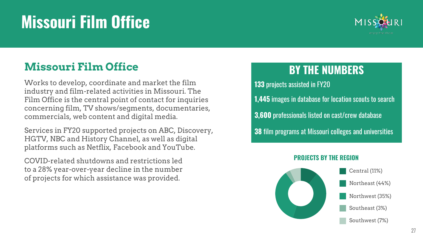#### 27

## **Missouri Film Office**

### **Missouri Film Office**

Works to develop, coordinate and market the film industry and film-related activities in Missouri. The Film Office is the central point of contact for inquiries concerning film, TV shows/segments, documentaries, commercials, web content and digital media.

Services in FY20 supported projects on ABC, Discovery, HGTV, NBC and History Channel, as well as digital platforms such as Netflix, Facebook and YouTube.

COVID-related shutdowns and restrictions led to a 28% year-over-year decline in the number of projects for which assistance was provided.

#### **BY THE NUMBERS**

**133** projects assisted in FY20 **1,445** images in database for location scouts to search **3,600** professionals listed on cast/crew database **38** film programs at Missouri colleges and universities

#### **PROJECTS BY THE REGION**